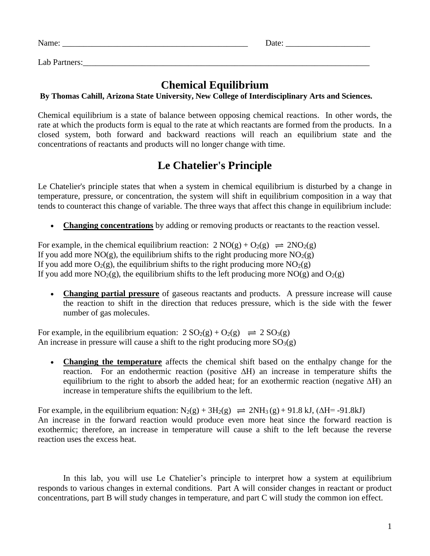Name: \_\_\_\_\_\_\_\_\_\_\_\_\_\_\_\_\_\_\_\_\_\_\_\_\_\_\_\_\_\_\_\_\_\_\_\_\_\_\_\_\_\_\_\_ Date: \_\_\_\_\_\_\_\_\_\_\_\_\_\_\_\_\_\_\_\_

Lab Partners:

## **Chemical Equilibrium**

## **By Thomas Cahill, Arizona State University, New College of Interdisciplinary Arts and Sciences.**

Chemical equilibrium is a state of balance between opposing chemical reactions. In other words, the rate at which the products form is equal to the rate at which reactants are formed from the products. In a closed system, both forward and backward reactions will reach an equilibrium state and the concentrations of reactants and products will no longer change with time.

# **Le Chatelier's Principle**

Le Chatelier's principle states that when a system in chemical equilibrium is disturbed by a change in temperature, pressure, or concentration, the system will shift in equilibrium composition in a way that tends to counteract this change of variable. The three ways that affect this change in equilibrium include:

**Changing concentrations** by adding or removing products or reactants to the reaction vessel.

For example, in the chemical equilibrium reaction:  $2 \text{ NO}(g) + \text{O}_2(g) \rightleftharpoons 2\text{NO}_2(g)$ If you add more  $NO(g)$ , the equilibrium shifts to the right producing more  $NO<sub>2</sub>(g)$ If you add more  $O_2(g)$ , the equilibrium shifts to the right producing more  $NO_2(g)$ If you add more NO<sub>2</sub>(g), the equilibrium shifts to the left producing more NO(g) and O<sub>2</sub>(g)

• **Changing partial pressure** of gaseous reactants and products. A pressure increase will cause the reaction to shift in the direction that reduces pressure, which is the side with the fewer number of gas molecules.

For example, in the equilibrium equation:  $2 SO_2(g) + O_2(g) \implies 2 SO_3(g)$ An increase in pressure will cause a shift to the right producing more  $SO<sub>3</sub>(g)$ 

• **Changing the temperature** affects the chemical shift based on the enthalpy change for the reaction. For an endothermic reaction (positive ∆H) an increase in temperature shifts the equilibrium to the right to absorb the added heat; for an exothermic reaction (negative ∆H) an increase in temperature shifts the equilibrium to the left.

For example, in the equilibrium equation:  $N_2(g) + 3H_2(g) \implies 2NH_3(g) + 91.8$  kJ, ( $\Delta H = -91.8$ kJ) An increase in the forward reaction would produce even more heat since the forward reaction is exothermic; therefore, an increase in temperature will cause a shift to the left because the reverse reaction uses the excess heat.

In this lab, you will use Le Chatelier's principle to interpret how a system at equilibrium responds to various changes in external conditions. Part A will consider changes in reactant or product concentrations, part B will study changes in temperature, and part C will study the common ion effect.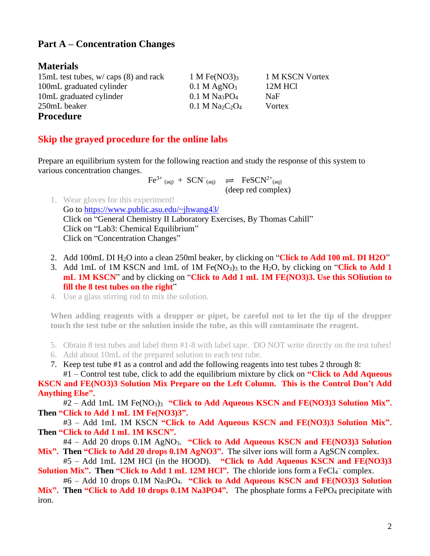## **Part A – Concentration Changes**

### **Materials**

15mL test tubes,  $w / \text{caps}$  (8) and rack 1 M Fe(NO3)<sub>3</sub> 1 M KSCN Vortex 100mL graduated cylinder 0.1 M AgNO<sub>3</sub> 12M HCl 10mL graduated cylinder 0.1 M Na<sub>3</sub>PO<sub>4</sub> NaF  $250$ mL beaker 0.1 M Na<sub>2</sub>C<sub>2</sub>O<sub>4</sub> Vortex **Procedure**

## **Skip the grayed procedure for the online labs**

Prepare an equilibrium system for the following reaction and study the response of this system to various concentration changes.

$$
Fe^{3+} (aq) + SCN^{-} (aq) \quad \rightleftharpoons \quad FeSCN^{2+} (aq)
$$
\n
$$
(deep red complex)
$$

- 1. Wear gloves for this experiment! Go to<https://www.public.asu.edu/~jhwang43/> Click on "General Chemistry II Laboratory Exercises, By Thomas Cahill" Click on "Lab3: Chemical Equilibrium" Click on "Concentration Changes"
- 2. Add 100mL DI H2O into a clean 250ml beaker, by clicking on "**Click to Add 100 mL DI H2O**"
- 3. Add 1mL of 1M KSCN and 1mL of 1M  $Fe(NO<sub>3</sub>)<sub>3</sub>$  to the H<sub>2</sub>O, by clicking on "**Click to Add 1 mL 1M KSCN**" and by clicking on "**Click to Add 1 mL 1M FE(NO3)3. Use this SOliution to fill the 8 test tubes on the right**"
- 4. Use a glass stirring rod to mix the solution.

**When adding reagents with a dropper or pipet, be careful not to let the tip of the dropper touch the test tube or the solution inside the tube, as this will contaminate the reagent.** 

- 5. Obtain 8 test tubes and label them #1-8 with label tape. DO NOT write directly on the test tubes!
- 6. Add about 10mL of the prepared solution to each test tube.
- 7. Keep test tube #1 as a control and add the following reagents into test tubes 2 through 8:

#1 – Control test tube, click to add the equilibrium mixture by click on **"Click to Add Aqueous KSCN and FE(NO3)3 Solution Mix Prepare on the Left Column. This is the Control Don't Add Anything Else".**

#2 – Add 1mL 1M Fe(NO3)3 **"Click to Add Aqueous KSCN and FE(NO3)3 Solution Mix". Then "Click to Add 1 mL 1M Fe(NO3)3".**

#3 – Add 1mL 1M KSCN **"Click to Add Aqueous KSCN and FE(NO3)3 Solution Mix". Then "Click to Add 1 mL 1M KSCN".**

#4 – Add 20 drops 0.1M AgNO3. **"Click to Add Aqueous KSCN and FE(NO3)3 Solution**  Mix". Then "Click to Add 20 drops 0.1M AgNO3". The silver ions will form a AgSCN complex.

#5 – Add 1mL 12M HCl (in the HOOD). **"Click to Add Aqueous KSCN and FE(NO3)3 Solution Mix". Then "Click to Add 1 mL 12M HCl".** The chloride ions form a FeCl<sub>4</sub><sup>-</sup> complex.

#6 – Add 10 drops 0.1M Na3PO4. **"Click to Add Aqueous KSCN and FE(NO3)3 Solution**  Mix". Then "Click to Add 10 drops 0.1M Na3PO4". The phosphate forms a FePO<sub>4</sub> precipitate with iron.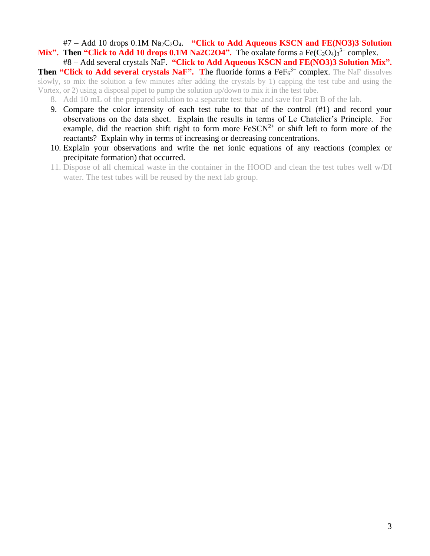#7 – Add 10 drops 0.1M Na2C2O4. **"Click to Add Aqueous KSCN and FE(NO3)3 Solution Mix".** Then "Click to Add 10 drops  $0.1M$  Na2C2O4". The oxalate forms a Fe(C<sub>2</sub>O<sub>4</sub>)<sub>3</sub><sup>3–</sup> complex.

#8 – Add several crystals NaF. **"Click to Add Aqueous KSCN and FE(NO3)3 Solution Mix".**  Then "Click to Add several crystals NaF". The fluoride forms a FeF<sub>6</sub><sup>3−</sup> complex. The NaF dissolves slowly, so mix the solution a few minutes after adding the crystals by 1) capping the test tube and using the Vortex, or 2) using a disposal pipet to pump the solution up/down to mix it in the test tube.

- 8. Add 10 mL of the prepared solution to a separate test tube and save for Part B of the lab.
- 9. Compare the color intensity of each test tube to that of the control (#1) and record your observations on the data sheet. Explain the results in terms of Le Chatelier's Principle. For example, did the reaction shift right to form more  $FeSCN<sup>2+</sup>$  or shift left to form more of the reactants? Explain why in terms of increasing or decreasing concentrations.
- 10. Explain your observations and write the net ionic equations of any reactions (complex or precipitate formation) that occurred.
- 11. Dispose of all chemical waste in the container in the HOOD and clean the test tubes well w/DI water. The test tubes will be reused by the next lab group.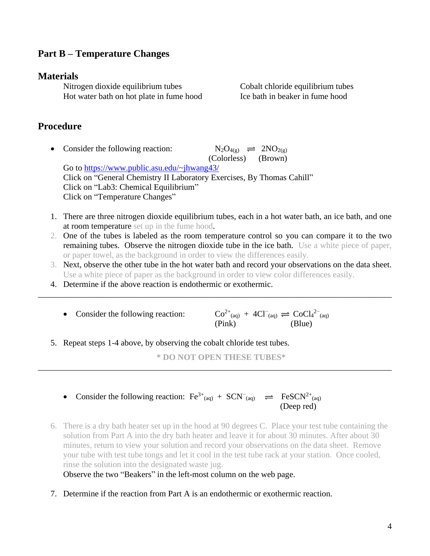## **Part B – Temperature Changes**

#### **Materials**

Nitrogen dioxide equilibrium tubes Cobalt chloride equilibrium tubes Hot water bath on hot plate in fume hood Ice bath in beaker in fume hood

### **Procedure**

- Consider the following reaction:  $N_2O_{4(g)} \rightleftharpoons 2NO_{2(g)}$  (Colorless) (Brown) Go to<https://www.public.asu.edu/~jhwang43/> Click on "General Chemistry II Laboratory Exercises, By Thomas Cahill" Click on "Lab3: Chemical Equilibrium" Click on "Temperature Changes"
- 1. There are three nitrogen dioxide equilibrium tubes, each in a hot water bath, an ice bath, and one at room temperature set up in the fume hood.
- 2. One of the tubes is labeled as the room temperature control so you can compare it to the two remaining tubes. Observe the nitrogen dioxide tube in the ice bath. Use a white piece of paper, or paper towel, as the background in order to view the differences easily.
- 3. Next, observe the other tube in the hot water bath and record your observations on the data sheet. Use a white piece of paper as the background in order to view color differences easily.

\_\_\_\_\_\_\_\_\_\_\_\_\_\_\_\_\_\_\_\_\_\_\_\_\_\_\_\_\_\_\_\_\_\_\_\_\_\_\_\_\_\_\_\_\_\_\_\_\_\_\_\_\_\_\_\_\_\_\_\_\_\_\_\_\_\_\_\_\_\_\_\_\_\_\_\_\_\_\_\_\_\_\_\_

- 4. Determine if the above reaction is endothermic or exothermic.
	- Consider the following reaction:  $_{\text{(aq)}} + 4Cl^{-}_{\text{(aq)}} \rightleftharpoons \text{CoCl}_4{}^{2-}_{\text{(aq)}}$ (Pink) (Blue)
- 5. Repeat steps 1-4 above, by observing the cobalt chloride test tubes.

**\* DO NOT OPEN THESE TUBES\***

\_\_\_\_\_\_\_\_\_\_\_\_\_\_\_\_\_\_\_\_\_\_\_\_\_\_\_\_\_\_\_\_\_\_\_\_\_\_\_\_\_\_\_\_\_\_\_\_\_\_\_\_\_\_\_\_\_\_\_\_\_\_\_\_\_\_\_\_\_\_\_\_\_\_\_\_\_\_\_\_\_\_\_\_

- Consider the following reaction:  $\text{Fe}^{3+}$ <sub>(aq)</sub> + SCN<sup>-</sup><sub>(aq)</sub>  $\implies$  FeSCN<sup>2+</sup><sub>(aq)</sub> (Deep red)
- 6. There is a dry bath heater set up in the hood at 90 degrees C. Place your test tube containing the solution from Part A into the dry bath heater and leave it for about 30 minutes. After about 30 minutes, return to view your solution and record your observations on the data sheet. Remove your tube with test tube tongs and let it cool in the test tube rack at your station. Once cooled, rinse the solution into the designated waste jug.

Observe the two "Beakers" in the left-most column on the web page.

7. Determine if the reaction from Part A is an endothermic or exothermic reaction.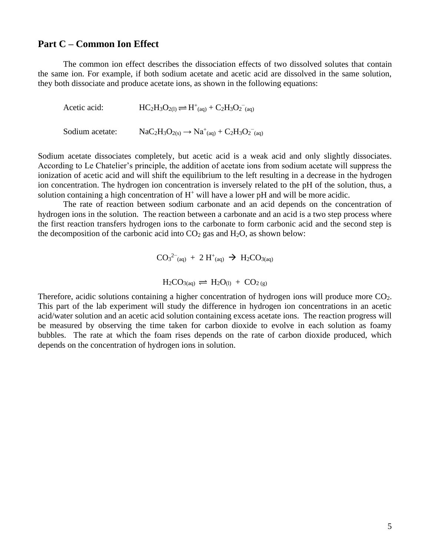#### **Part C – Common Ion Effect**

The common ion effect describes the dissociation effects of two dissolved solutes that contain the same ion. For example, if both sodium acetate and acetic acid are dissolved in the same solution, they both dissociate and produce acetate ions, as shown in the following equations:

Acetic acid:  $\text{HC}_2\text{H}_3\text{O}_{2(1)} \rightleftharpoons \text{H}^+_{\text{(aq)}} + \text{C}_2\text{H}_3\text{O}_2^-_{\text{(aq)}}$ Sodium acetate:  $NaC_2H_3O_{2(s)} \rightarrow Na^+_{(aq)} + C_2H_3O_2^-_{(aq)}$ 

Sodium acetate dissociates completely, but acetic acid is a weak acid and only slightly dissociates. According to Le Chatelier's principle, the addition of acetate ions from sodium acetate will suppress the ionization of acetic acid and will shift the equilibrium to the left resulting in a decrease in the hydrogen ion concentration. The hydrogen ion concentration is inversely related to the pH of the solution, thus, a solution containing a high concentration of  $H^+$  will have a lower pH and will be more acidic.

The rate of reaction between sodium carbonate and an acid depends on the concentration of hydrogen ions in the solution. The reaction between a carbonate and an acid is a two step process where the first reaction transfers hydrogen ions to the carbonate to form carbonic acid and the second step is the decomposition of the carbonic acid into  $CO<sub>2</sub>$  gas and  $H<sub>2</sub>O$ , as shown below:

$$
CO3^{2-} (aq) + 2 H^+(aq) \rightarrow H_2CO_{3(aq)}
$$

$$
H_2CO_{3(aq)} \rightleftharpoons H_2O_{(l)} + CO_{2(g)}
$$

Therefore, acidic solutions containing a higher concentration of hydrogen ions will produce more CO<sub>2</sub>. This part of the lab experiment will study the difference in hydrogen ion concentrations in an acetic acid/water solution and an acetic acid solution containing excess acetate ions. The reaction progress will be measured by observing the time taken for carbon dioxide to evolve in each solution as foamy bubbles. The rate at which the foam rises depends on the rate of carbon dioxide produced, which depends on the concentration of hydrogen ions in solution.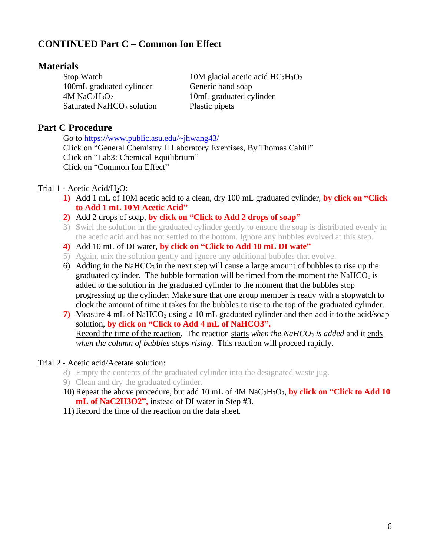## **CONTINUED Part C – Common Ion Effect**

### **Materials**

100mL graduated cylinder Generic hand soap  $4M \text{ NaC}_2\text{H}_3\text{O}_2$  10mL graduated cylinder Saturated NaHCO<sub>3</sub> solution Plastic pipets

Stop Watch 10M glacial acetic acid  $HC_2H_3O_2$ 

## **Part C Procedure**

Go to<https://www.public.asu.edu/~jhwang43/> Click on "General Chemistry II Laboratory Exercises, By Thomas Cahill" Click on "Lab3: Chemical Equilibrium" Click on "Common Ion Effect"

### Trial 1 - Acetic Acid/H2O:

- **1)** Add 1 mL of 10M acetic acid to a clean, dry 100 mL graduated cylinder, **by click on "Click to Add 1 mL 10M Acetic Acid"**
- **2)** Add 2 drops of soap, **by click on "Click to Add 2 drops of soap"**
- 3) Swirl the solution in the graduated cylinder gently to ensure the soap is distributed evenly in the acetic acid and has not settled to the bottom. Ignore any bubbles evolved at this step.
- **4)** Add 10 mL of DI water, **by click on "Click to Add 10 mL DI wate"**
- 5) Again, mix the solution gently and ignore any additional bubbles that evolve.
- 6) Adding in the NaHCO<sub>3</sub> in the next step will cause a large amount of bubbles to rise up the graduated cylinder. The bubble formation will be timed from the moment the NaHCO3 is added to the solution in the graduated cylinder to the moment that the bubbles stop progressing up the cylinder. Make sure that one group member is ready with a stopwatch to clock the amount of time it takes for the bubbles to rise to the top of the graduated cylinder.
- **7)** Measure 4 mL of NaHCO<sub>3</sub> using a 10 mL graduated cylinder and then add it to the acid/soap solution, **by click on "Click to Add 4 mL of NaHCO3".** Record the time of the reaction. The reaction starts *when the NaHCO<sup>3</sup> is added* and it ends *when the column of bubbles stops rising*. This reaction will proceed rapidly.

#### Trial 2 - Acetic acid/Acetate solution:

- 8) Empty the contents of the graduated cylinder into the designated waste jug.
- 9) Clean and dry the graduated cylinder.
- 10)Repeat the above procedure, but add 10 mL of 4M NaC2H3O2, **by click on "Click to Add 10 mL of NaC2H3O2",** instead of DI water in Step #3.
- 11)Record the time of the reaction on the data sheet.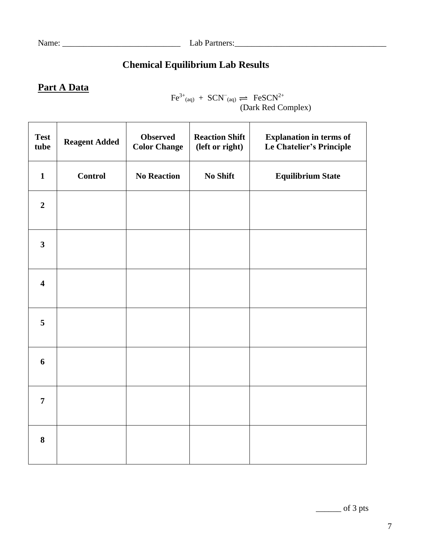# **Chemical Equilibrium Lab Results**

## **Part A Data**

 $\text{Fe}^{3+}$ <sub>(aq)</sub> +  $\text{SCN}^-$ <sub>(aq)</sub>  $\implies$   $\text{FeSCN}^{2+}$ (Dark Red Complex)

| <b>Test</b><br>tube     | <b>Reagent Added</b> | <b>Observed</b><br><b>Color Change</b> | <b>Reaction Shift</b><br>(left or right) | <b>Explanation in terms of</b><br>Le Chatelier's Principle |
|-------------------------|----------------------|----------------------------------------|------------------------------------------|------------------------------------------------------------|
| $\mathbf{1}$            | <b>Control</b>       | <b>No Reaction</b>                     | <b>No Shift</b>                          | <b>Equilibrium State</b>                                   |
| $\boldsymbol{2}$        |                      |                                        |                                          |                                                            |
| $\overline{\mathbf{3}}$ |                      |                                        |                                          |                                                            |
| $\overline{\mathbf{4}}$ |                      |                                        |                                          |                                                            |
| 5                       |                      |                                        |                                          |                                                            |
| $\boldsymbol{6}$        |                      |                                        |                                          |                                                            |
| $\overline{7}$          |                      |                                        |                                          |                                                            |
| $\bf{8}$                |                      |                                        |                                          |                                                            |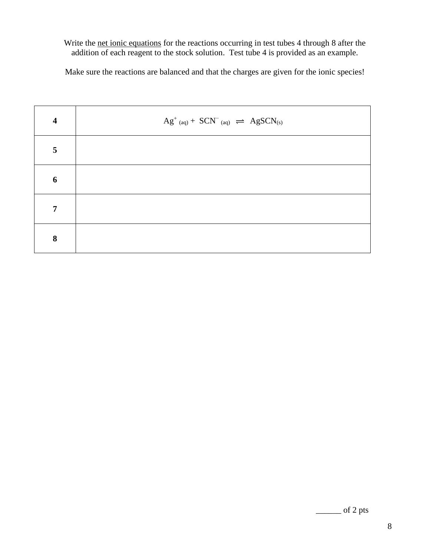#### Write the net ionic equations for the reactions occurring in test tubes 4 through 8 after the addition of each reagent to the stock solution. Test tube 4 is provided as an example.

Make sure the reactions are balanced and that the charges are given for the ionic species!

| $\overline{\mathbf{4}}$ | $Ag^{\dagger}$ (aq) + $SCN^{\dagger}$ (aq) $\implies AgSCN_{(s)}$ |
|-------------------------|-------------------------------------------------------------------|
| $5\phantom{.0}$         |                                                                   |
| 6                       |                                                                   |
| $\overline{7}$          |                                                                   |
| 8                       |                                                                   |

\_\_\_\_\_\_ of 2 pts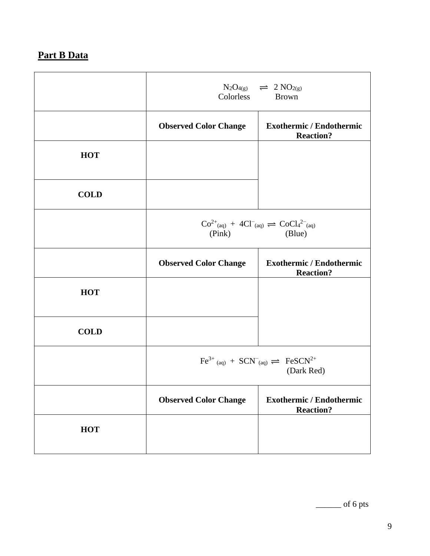# **Part B Data**

|             | $N_2O_{4(g)}$ $\implies$ 2 $NO_{2(g)}$<br>Colorless<br><b>Brown</b> |                                                                                                                                             |
|-------------|---------------------------------------------------------------------|---------------------------------------------------------------------------------------------------------------------------------------------|
|             | <b>Observed Color Change</b>                                        | <b>Exothermic / Endothermic</b><br><b>Reaction?</b>                                                                                         |
| <b>HOT</b>  |                                                                     |                                                                                                                                             |
| <b>COLD</b> |                                                                     |                                                                                                                                             |
|             | (Pink)                                                              | $Co^{2+}$ <sub>(aq)</sub> + 4Cl <sup>-</sup> <sub>(aq)</sub> $\rightleftharpoons$ CoCl <sub>4</sub> <sup>2-</sup> <sub>(aq)</sub><br>(Blue) |
|             | <b>Observed Color Change</b>                                        | <b>Exothermic / Endothermic</b><br><b>Reaction?</b>                                                                                         |
| <b>HOT</b>  |                                                                     |                                                                                                                                             |
| <b>COLD</b> |                                                                     |                                                                                                                                             |
|             |                                                                     | $\text{Fe}^{3+}$ (aq) + $\text{SCN}^-$ (aq) $\implies$ $\text{FeSCN}^{2+}$<br>(Dark Red)                                                    |
|             | <b>Observed Color Change</b>                                        | <b>Exothermic / Endothermic</b><br><b>Reaction?</b>                                                                                         |
| <b>HOT</b>  |                                                                     |                                                                                                                                             |

 $\frac{1}{\sqrt{2\pi}}$  of 6 pts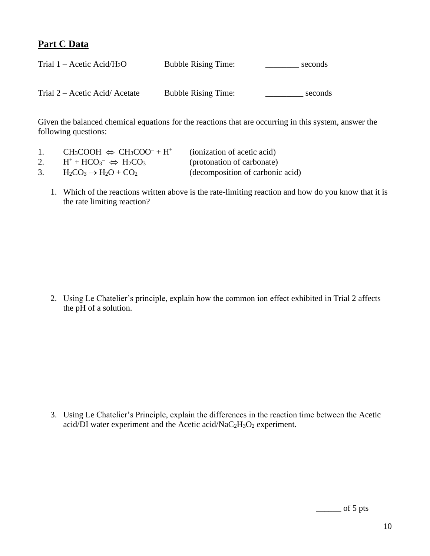## **Part C Data**

| Trial $1 -$ Acetic Acid/H <sub>2</sub> O | <b>Bubble Rising Time:</b> | seconds |
|------------------------------------------|----------------------------|---------|
|                                          |                            |         |
| Trial 2 – Acetic Acid/Acetate            | <b>Bubble Rising Time:</b> | seconds |

Given the balanced chemical equations for the reactions that are occurring in this system, answer the following questions:

|    | $CH_3COOH \Leftrightarrow CH_3COO^- + H^+$ | (ionization of acetic acid)      |
|----|--------------------------------------------|----------------------------------|
| 2. | $H^+ + HCO_3^- \Leftrightarrow H_2CO_3$    | (protonation of carbonate)       |
|    | $H_2CO_3 \rightarrow H_2O + CO_2$          | (decomposition of carbonic acid) |

1. Which of the reactions written above is the rate-limiting reaction and how do you know that it is the rate limiting reaction?

2. Using Le Chatelier's principle, explain how the common ion effect exhibited in Trial 2 affects the pH of a solution.

3. Using Le Chatelier's Principle, explain the differences in the reaction time between the Acetic acid/DI water experiment and the Acetic acid/NaC<sub>2</sub>H<sub>3</sub>O<sub>2</sub> experiment.

 $\rule{1em}{0.15mm}$  of 5 pts